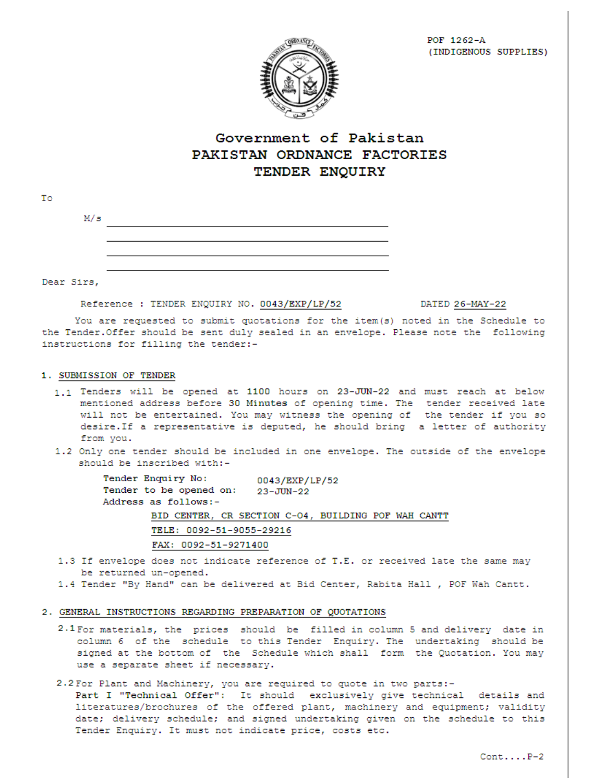

# Government of Pakistan PAKISTAN ORDNANCE FACTORIES TENDER ENQUIRY

| M/s |  |  |  |
|-----|--|--|--|
|     |  |  |  |
|     |  |  |  |
|     |  |  |  |

Dear Sirs,

To

Reference : TENDER ENQUIRY NO. 0043/EXP/LP/52

DATED 26-MAY-22

You are requested to submit quotations for the item(s) noted in the Schedule to the Tender. Offer should be sent duly sealed in an envelope. Please note the following instructions for filling the tender:-

### 1. SUBMISSION OF TENDER

- 1.1 Tenders will be opened at 1100 hours on 23-JUN-22 and must reach at below mentioned address before 30 Minutes of opening time. The tender received late will not be entertained. You may witness the opening of the tender if you so desire. If a representative is deputed, he should bring a letter of authority from you.
- 1.2 Only one tender should be included in one envelope. The outside of the envelope should be inscribed with:-

Tender Enquiry No: 0043/EXP/LP/52 Tender to be opened on: 23-JUN-22 Address as follows:-BID CENTER, CR SECTION C-04, BUILDING POF WAH CANTT TELE: 0092-51-9055-29216 FAX: 0092-51-9271400

1.3 If envelope does not indicate reference of T.E. or received late the same may be returned un-opened.

1.4 Tender "By Hand" can be delivered at Bid Center, Rabita Hall , POF Wah Cantt.

#### 2. GENERAL INSTRUCTIONS REGARDING PREPARATION OF QUOTATIONS

- 2.1 For materials, the prices should be filled in column 5 and delivery date in column 6 of the schedule to this Tender Enquiry. The undertaking should be signed at the bottom of the Schedule which shall form the Quotation. You may use a separate sheet if necessary.
- 2.2 For Plant and Machinery, you are required to quote in two parts:-

Part I "Technical Offer": It should exclusively give technical details and literatures/brochures of the offered plant, machinery and equipment; validity date; delivery schedule; and signed undertaking given on the schedule to this Tender Enquiry. It must not indicate price, costs etc.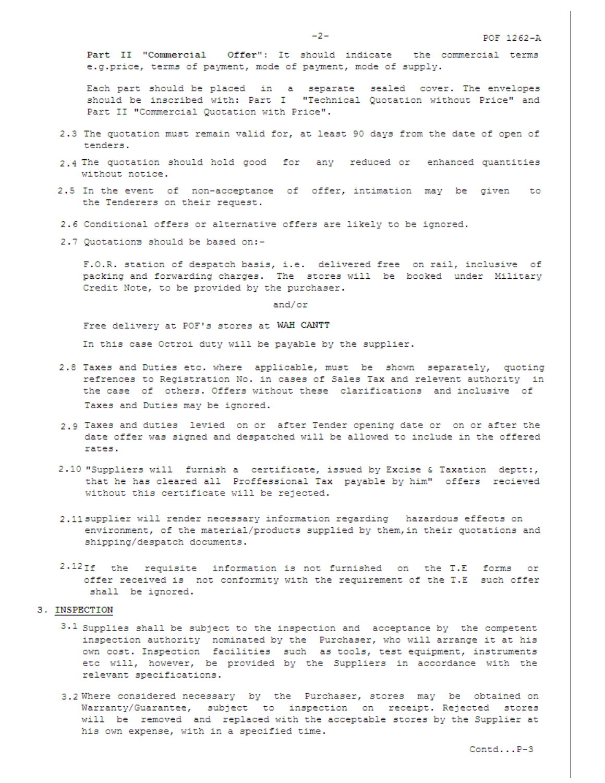Part II "Commercial Offer": It should indicate the commercial terms e.g.price, terms of payment, mode of payment, mode of supply.

Each part should be placed in a separate sealed cover. The envelopes should be inscribed with: Part I "Technical Quotation without Price" and Part II "Commercial Quotation with Price".

- 2.3 The quotation must remain valid for, at least 90 days from the date of open of tenders.
- 2.4 The quotation should hold good for any reduced or enhanced quantities without notice.
- 2.5 In the event of non-acceptance of offer, intimation may be given to the Tenderers on their request.
- 2.6 Conditional offers or alternative offers are likely to be ignored.
- 2.7 Quotations should be based on:-

F.O.R. station of despatch basis, i.e. delivered free on rail, inclusive of packing and forwarding charges. The stores will be booked under Military Credit Note, to be provided by the purchaser.

and/or

Free delivery at POF's stores at WAH CANTT

In this case Octroi duty will be payable by the supplier.

- 2.8 Taxes and Duties etc. where applicable, must be shown separately, quoting refrences to Registration No. in cases of Sales Tax and relevent authority in the case of others. Offers without these clarifications and inclusive of Taxes and Duties may be ignored.
- 2.9 Taxes and duties levied on or after Tender opening date or on or after the date offer was signed and despatched will be allowed to include in the offered rates.
- 2.10 "Suppliers will furnish a certificate, issued by Excise & Taxation deptt:, that he has cleared all Proffessional Tax payable by him" offers recieved without this certificate will be rejected.
- 2.11 supplier will render necessary information regarding hazardous effects on environment, of the material/products supplied by them, in their quotations and shipping/despatch documents.
- 2.12If the requisite information is not furnished on the T.E forms or offer received is not conformity with the requirement of the T.E such offer shall be ignored.

#### 3. INSPECTION

- $3.1$  Supplies shall be subject to the inspection and acceptance by the competent inspection authority nominated by the Purchaser, who will arrange it at his own cost. Inspection facilities such as tools, test equipment, instruments etc will, however, be provided by the Suppliers in accordance with the relevant specifications.
- 3.2 Where considered necessary by the Purchaser, stores may be obtained on Warranty/Guarantee, subject to inspection on receipt. Rejected stores will be removed and replaced with the acceptable stores by the Supplier at his own expense, with in a specified time.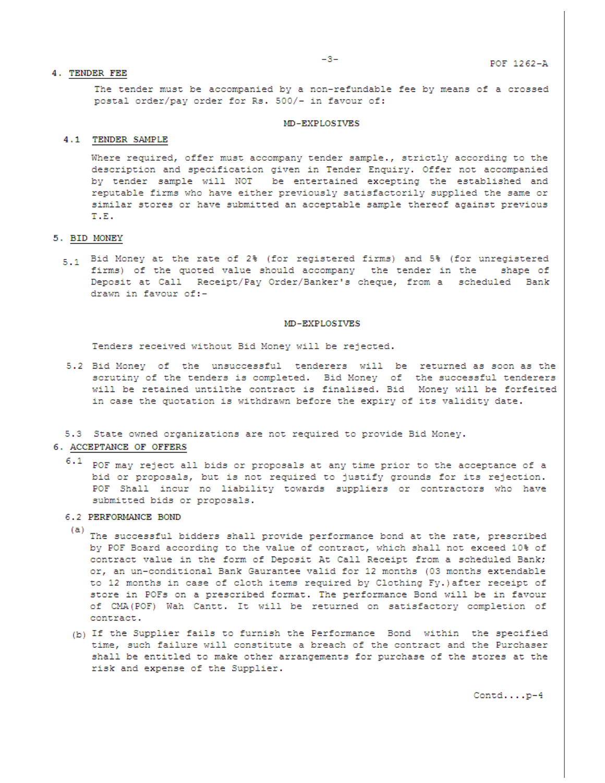The tender must be accompanied by a non-refundable fee by means of a crossed postal order/pay order for Rs. 500/- in favour of:

#### MD-EXPLOSIVES

#### 4.1 TENDER SAMPLE

Where required, offer must accompany tender sample., strictly according to the description and specification given in Tender Enquiry. Offer not accompanied by tender sample will NOT be entertained excepting the established and reputable firms who have either previously satisfactorily supplied the same or similar stores or have submitted an acceptable sample thereof against previous T.E.

#### 5. BID MONEY

5.1 Bid Money at the rate of 2% (for registered firms) and 5% (for unregistered firms) of the quoted value should accompany the tender in the shape of Deposit at Call Receipt/Pay Order/Banker's cheque, from a scheduled Bank drawn in favour of:-

#### MD-EXPLOSIVES

Tenders received without Bid Money will be rejected.

5.2 Bid Money of the unsuccessful tenderers will be returned as soon as the scrutiny of the tenders is completed. Bid Money of the successful tenderers will be retained untilthe contract is finalised. Bid Money will be forfeited in case the quotation is withdrawn before the expiry of its validity date.

#### 5.3 State owned organizations are not required to provide Bid Money.

#### 6. ACCEPTANCE OF OFFERS

 $6.1$ POF may reject all bids or proposals at any time prior to the acceptance of a bid or proposals, but is not required to justify grounds for its rejection. POF Shall incur no liability towards suppliers or contractors who have submitted bids or proposals.

#### 6.2 PERFORMANCE BOND

- (a) The successful bidders shall provide performance bond at the rate, prescribed by POF Board according to the value of contract, which shall not exceed 10% of contract value in the form of Deposit At Call Receipt from a scheduled Bank; or, an un-conditional Bank Gaurantee valid for 12 months (03 months extendable to 12 months in case of cloth items required by Clothing Fy.) after receipt of store in POFs on a prescribed format. The performance Bond will be in favour of CMA(POF) Wah Cantt. It will be returned on satisfactory completion of contract.
- (b) If the Supplier fails to furnish the Performance Bond within the specified time, such failure will constitute a breach of the contract and the Purchaser shall be entitled to make other arrangements for purchase of the stores at the risk and expense of the Supplier.

 $\texttt{Control} \ldots \texttt{.p-4}$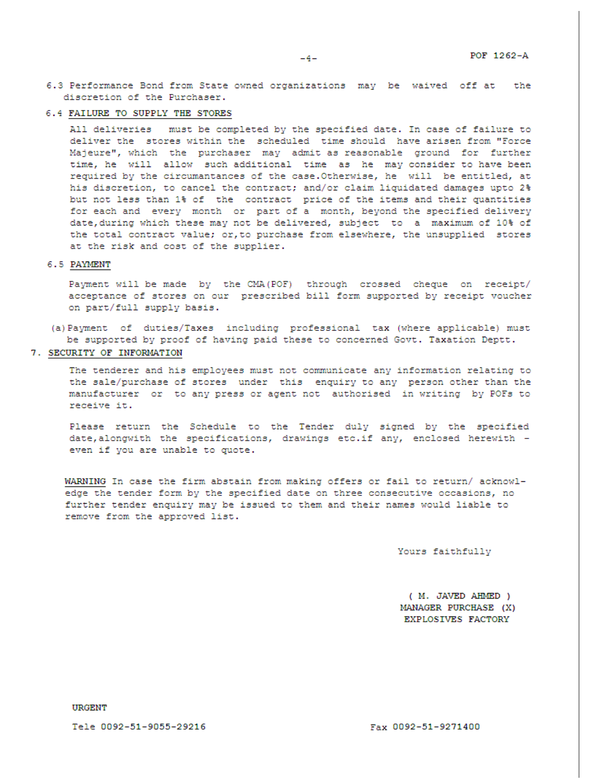6.3 Performance Bond from State owned organizations may be waived off at the discretion of the Purchaser.

### 6.4 FAILURE TO SUPPLY THE STORES

All deliveries must be completed by the specified date. In case of failure to deliver the stores within the scheduled time should have arisen from "Force Majeure", which the purchaser may admit as reasonable ground for further time, he will allow such additional time as he may consider to have been required by the circumantances of the case. Otherwise, he will be entitled, at his discretion, to cancel the contract; and/or claim liquidated damages upto 2% but not less than 1% of the contract price of the items and their quantities for each and every month or part of a month, beyond the specified delivery date, during which these may not be delivered, subject to a maximum of 10% of the total contract value; or, to purchase from elsewhere, the unsupplied stores at the risk and cost of the supplier.

#### 6.5 PAYMENT

Payment will be made by the CMA (POF) through crossed cheque on receipt/ acceptance of stores on our prescribed bill form supported by receipt voucher on part/full supply basis.

(a) Payment of duties/Taxes including professional tax (where applicable) must be supported by proof of having paid these to concerned Govt. Taxation Deptt.

#### 7. SECURITY OF INFORMATION

The tenderer and his employees must not communicate any information relating to the sale/purchase of stores under this enquiry to any person other than the manufacturer or to any press or agent not authorised in writing by POFs to receive it.

Please return the Schedule to the Tender duly signed by the specified date, alongwith the specifications, drawings etc.if any, enclosed herewith even if you are unable to quote.

WARNING In case the firm abstain from making offers or fail to return/ acknowledge the tender form by the specified date on three consecutive occasions, no further tender enquiry may be issued to them and their names would liable to remove from the approved list.

Yours faithfully

( M. JAVED AHMED ) MANAGER PURCHASE (X) EXPLOSIVES FACTORY

Tele 0092-51-9055-29216